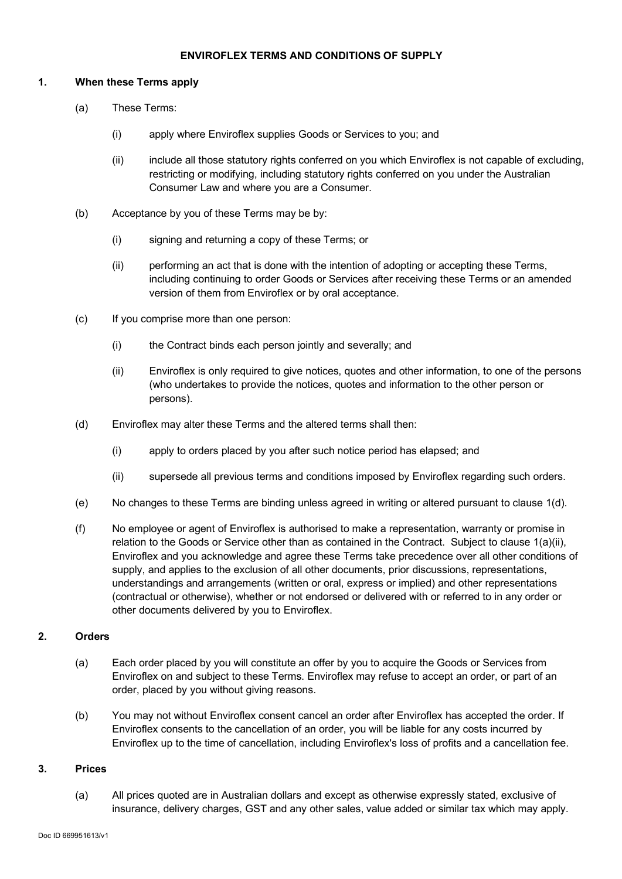### **ENVIROFLEX TERMS AND CONDITIONS OF SUPPLY**

#### **1. When these Terms apply**

- (a) These Terms:
	- (i) apply where Enviroflex supplies Goods or Services to you; and
	- (ii) include all those statutory rights conferred on you which Enviroflex is not capable of excluding, restricting or modifying, including statutory rights conferred on you under the Australian Consumer Law and where you are a Consumer.
- (b) Acceptance by you of these Terms may be by:
	- (i) signing and returning a copy of these Terms; or
	- (ii) performing an act that is done with the intention of adopting or accepting these Terms, including continuing to order Goods or Services after receiving these Terms or an amended version of them from Enviroflex or by oral acceptance.
- (c) If you comprise more than one person:
	- (i) the Contract binds each person jointly and severally; and
	- (ii) Enviroflex is only required to give notices, quotes and other information, to one of the persons (who undertakes to provide the notices, quotes and information to the other person or persons).
- (d) Enviroflex may alter these Terms and the altered terms shall then:
	- (i) apply to orders placed by you after such notice period has elapsed; and
	- (ii) supersede all previous terms and conditions imposed by Enviroflex regarding such orders.
- (e) No changes to these Terms are binding unless agreed in writing or altered pursuant to clause 1(d).
- (f) No employee or agent of Enviroflex is authorised to make a representation, warranty or promise in relation to the Goods or Service other than as contained in the Contract. Subject to clause  $1(a)(ii)$ , Enviroflex and you acknowledge and agree these Terms take precedence over all other conditions of supply, and applies to the exclusion of all other documents, prior discussions, representations, understandings and arrangements (written or oral, express or implied) and other representations (contractual or otherwise), whether or not endorsed or delivered with or referred to in any order or other documents delivered by you to Enviroflex.

# **2. Orders**

- (a) Each order placed by you will constitute an offer by you to acquire the Goods or Services from Enviroflex on and subject to these Terms. Enviroflex may refuse to accept an order, or part of an order, placed by you without giving reasons.
- (b) You may not without Enviroflex consent cancel an order after Enviroflex has accepted the order. If Enviroflex consents to the cancellation of an order, you will be liable for any costs incurred by Enviroflex up to the time of cancellation, including Enviroflex's loss of profits and a cancellation fee.

#### **3. Prices**

(a) All prices quoted are in Australian dollars and except as otherwise expressly stated, exclusive of insurance, delivery charges, GST and any other sales, value added or similar tax which may apply.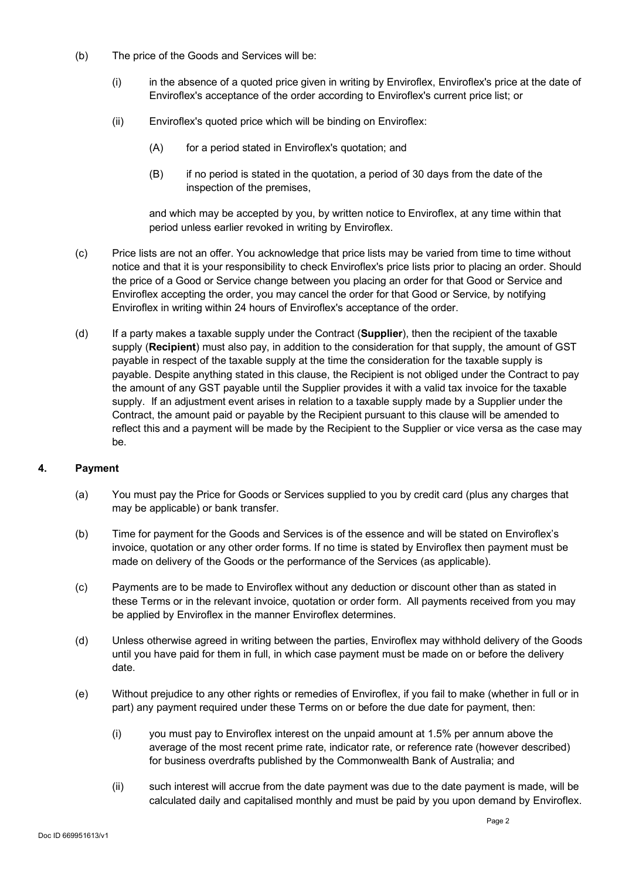- (b) The price of the Goods and Services will be:
	- (i) in the absence of a quoted price given in writing by Enviroflex, Enviroflex's price at the date of Enviroflex's acceptance of the order according to Enviroflex's current price list; or
	- (ii) Enviroflex's quoted price which will be binding on Enviroflex:
		- (A) for a period stated in Enviroflex's quotation; and
		- (B) if no period is stated in the quotation, a period of 30 days from the date of the inspection of the premises,

and which may be accepted by you, by written notice to Enviroflex, at any time within that period unless earlier revoked in writing by Enviroflex.

- (c) Price lists are not an offer. You acknowledge that price lists may be varied from time to time without notice and that it is your responsibility to check Enviroflex's price lists prior to placing an order. Should the price of a Good or Service change between you placing an order for that Good or Service and Enviroflex accepting the order, you may cancel the order for that Good or Service, by notifying Enviroflex in writing within 24 hours of Enviroflex's acceptance of the order.
- (d) If a party makes a taxable supply under the Contract (**Supplier**), then the recipient of the taxable supply (**Recipient**) must also pay, in addition to the consideration for that supply, the amount of GST payable in respect of the taxable supply at the time the consideration for the taxable supply is payable. Despite anything stated in this clause, the Recipient is not obliged under the Contract to pay the amount of any GST payable until the Supplier provides it with a valid tax invoice for the taxable supply. If an adjustment event arises in relation to a taxable supply made by a Supplier under the Contract, the amount paid or payable by the Recipient pursuant to this clause will be amended to reflect this and a payment will be made by the Recipient to the Supplier or vice versa as the case may be.

## **4. Payment**

- (a) You must pay the Price for Goods or Services supplied to you by credit card (plus any charges that may be applicable) or bank transfer.
- (b) Time for payment for the Goods and Services is of the essence and will be stated on Enviroflex's invoice, quotation or any other order forms. If no time is stated by Enviroflex then payment must be made on delivery of the Goods or the performance of the Services (as applicable).
- (c) Payments are to be made to Enviroflex without any deduction or discount other than as stated in these Terms or in the relevant invoice, quotation or order form. All payments received from you may be applied by Enviroflex in the manner Enviroflex determines.
- (d) Unless otherwise agreed in writing between the parties, Enviroflex may withhold delivery of the Goods until you have paid for them in full, in which case payment must be made on or before the delivery date.
- (e) Without prejudice to any other rights or remedies of Enviroflex, if you fail to make (whether in full or in part) any payment required under these Terms on or before the due date for payment, then:
	- (i) you must pay to Enviroflex interest on the unpaid amount at 1.5% per annum above the average of the most recent prime rate, indicator rate, or reference rate (however described) for business overdrafts published by the Commonwealth Bank of Australia; and
	- (ii) such interest will accrue from the date payment was due to the date payment is made, will be calculated daily and capitalised monthly and must be paid by you upon demand by Enviroflex.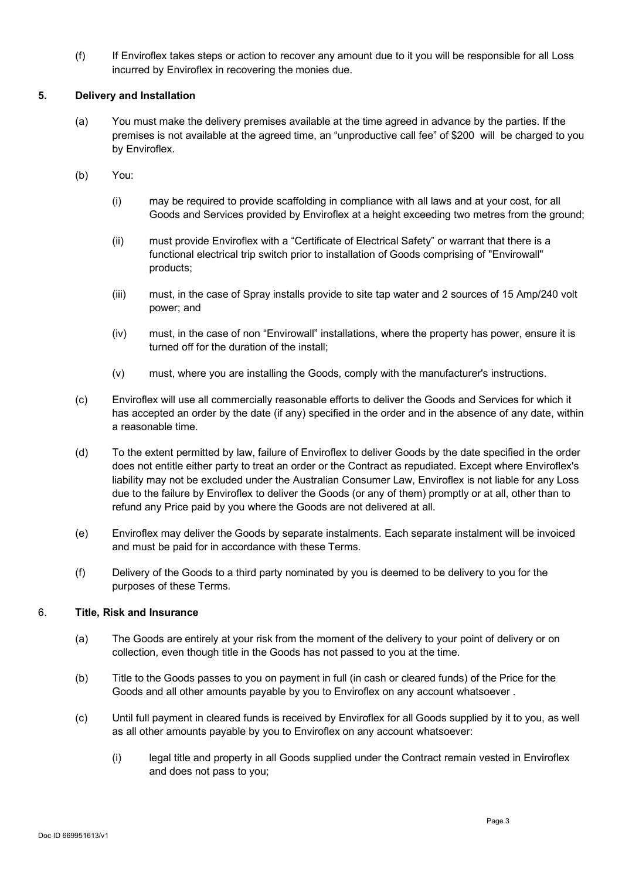(f) If Enviroflex takes steps or action to recover any amount due to it you will be responsible for all Loss incurred by Enviroflex in recovering the monies due.

## **5. Delivery and Installation**

- (a) You must make the delivery premises available at the time agreed in advance by the parties. If the premises is not available at the agreed time, an "unproductive call fee" of \$200 will be charged to you by Enviroflex.
- (b) You:
	- (i) may be required to provide scaffolding in compliance with all laws and at your cost, for all Goods and Services provided by Enviroflex at a height exceeding two metres from the ground;
	- (ii) must provide Enviroflex with a "Certificate of Electrical Safety" or warrant that there is a functional electrical trip switch prior to installation of Goods comprising of "Envirowall" products;
	- (iii) must, in the case of Spray installs provide to site tap water and 2 sources of 15 Amp/240 volt power; and
	- (iv) must, in the case of non "Envirowall" installations, where the property has power, ensure it is turned off for the duration of the install;
	- (v) must, where you are installing the Goods, comply with the manufacturer's instructions.
- (c) Enviroflex will use all commercially reasonable efforts to deliver the Goods and Services for which it has accepted an order by the date (if any) specified in the order and in the absence of any date, within a reasonable time.
- (d) To the extent permitted by law, failure of Enviroflex to deliver Goods by the date specified in the order does not entitle either party to treat an order or the Contract as repudiated. Except where Enviroflex's liability may not be excluded under the Australian Consumer Law, Enviroflex is not liable for any Loss due to the failure by Enviroflex to deliver the Goods (or any of them) promptly or at all, other than to refund any Price paid by you where the Goods are not delivered at all.
- (e) Enviroflex may deliver the Goods by separate instalments. Each separate instalment will be invoiced and must be paid for in accordance with these Terms.
- (f) Delivery of the Goods to a third party nominated by you is deemed to be delivery to you for the purposes of these Terms.

## 6. **Title, Risk and Insurance**

- (a) The Goods are entirely at your risk from the moment of the delivery to your point of delivery or on collection, even though title in the Goods has not passed to you at the time.
- (b) Title to the Goods passes to you on payment in full (in cash or cleared funds) of the Price for the Goods and all other amounts payable by you to Enviroflex on any account whatsoever .
- (c) Until full payment in cleared funds is received by Enviroflex for all Goods supplied by it to you, as well as all other amounts payable by you to Enviroflex on any account whatsoever:
	- (i) legal title and property in all Goods supplied under the Contract remain vested in Enviroflex and does not pass to you;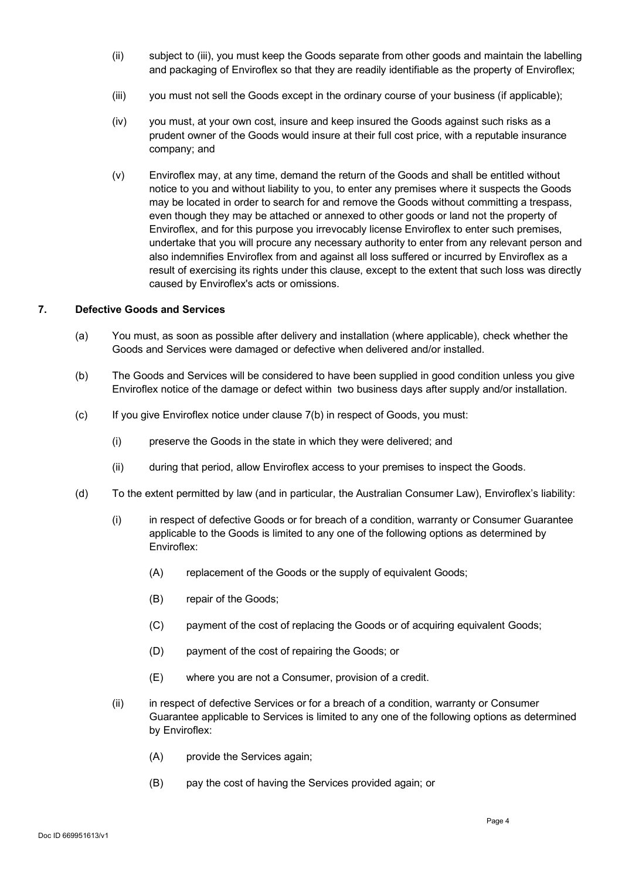- (ii) subject to (iii), you must keep the Goods separate from other goods and maintain the labelling and packaging of Enviroflex so that they are readily identifiable as the property of Enviroflex;
- (iii) you must not sell the Goods except in the ordinary course of your business (if applicable);
- (iv) you must, at your own cost, insure and keep insured the Goods against such risks as a prudent owner of the Goods would insure at their full cost price, with a reputable insurance company; and
- (v) Enviroflex may, at any time, demand the return of the Goods and shall be entitled without notice to you and without liability to you, to enter any premises where it suspects the Goods may be located in order to search for and remove the Goods without committing a trespass, even though they may be attached or annexed to other goods or land not the property of Enviroflex, and for this purpose you irrevocably license Enviroflex to enter such premises, undertake that you will procure any necessary authority to enter from any relevant person and also indemnifies Enviroflex from and against all loss suffered or incurred by Enviroflex as a result of exercising its rights under this clause, except to the extent that such loss was directly caused by Enviroflex's acts or omissions.

### **7. Defective Goods and Services**

- (a) You must, as soon as possible after delivery and installation (where applicable), check whether the Goods and Services were damaged or defective when delivered and/or installed.
- (b) The Goods and Services will be considered to have been supplied in good condition unless you give Enviroflex notice of the damage or defect within two business days after supply and/or installation.
- (c) If you give Enviroflex notice under clause 7(b) in respect of Goods, you must:
	- (i) preserve the Goods in the state in which they were delivered; and
	- (ii) during that period, allow Enviroflex access to your premises to inspect the Goods.
- (d) To the extent permitted by law (and in particular, the Australian Consumer Law), Enviroflex's liability:
	- (i) in respect of defective Goods or for breach of a condition, warranty or Consumer Guarantee applicable to the Goods is limited to any one of the following options as determined by Enviroflex:
		- (A) replacement of the Goods or the supply of equivalent Goods;
		- (B) repair of the Goods;
		- (C) payment of the cost of replacing the Goods or of acquiring equivalent Goods;
		- (D) payment of the cost of repairing the Goods; or
		- (E) where you are not a Consumer, provision of a credit.
	- (ii) in respect of defective Services or for a breach of a condition, warranty or Consumer Guarantee applicable to Services is limited to any one of the following options as determined by Enviroflex:
		- (A) provide the Services again;
		- (B) pay the cost of having the Services provided again; or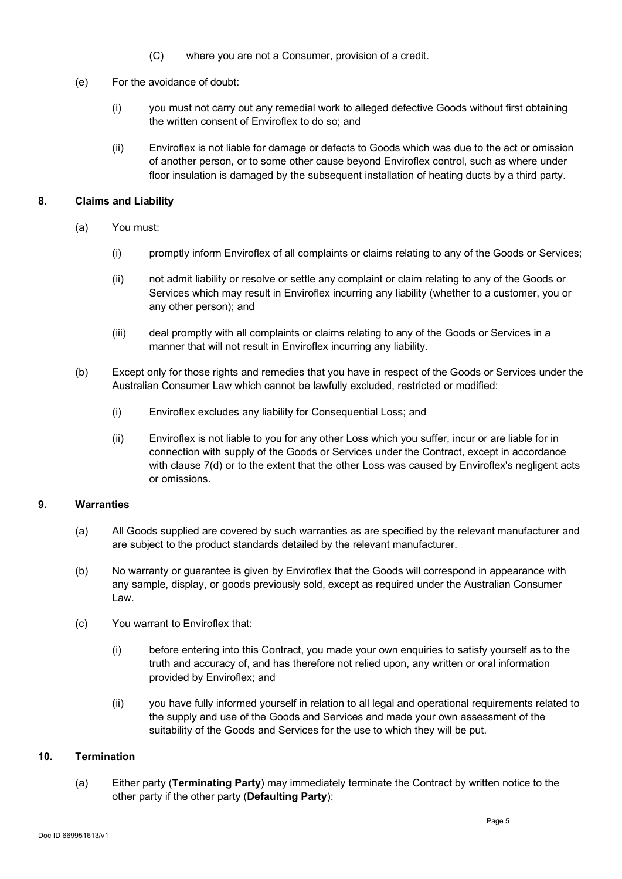- (C) where you are not a Consumer, provision of a credit.
- (e) For the avoidance of doubt:
	- (i) you must not carry out any remedial work to alleged defective Goods without first obtaining the written consent of Enviroflex to do so; and
	- (ii) Enviroflex is not liable for damage or defects to Goods which was due to the act or omission of another person, or to some other cause beyond Enviroflex control, such as where under floor insulation is damaged by the subsequent installation of heating ducts by a third party.

### **8. Claims and Liability**

- (a) You must:
	- (i) promptly inform Enviroflex of all complaints or claims relating to any of the Goods or Services;
	- (ii) not admit liability or resolve or settle any complaint or claim relating to any of the Goods or Services which may result in Enviroflex incurring any liability (whether to a customer, you or any other person); and
	- (iii) deal promptly with all complaints or claims relating to any of the Goods or Services in a manner that will not result in Enviroflex incurring any liability.
- (b) Except only for those rights and remedies that you have in respect of the Goods or Services under the Australian Consumer Law which cannot be lawfully excluded, restricted or modified:
	- (i) Enviroflex excludes any liability for Consequential Loss; and
	- (ii) Enviroflex is not liable to you for any other Loss which you suffer, incur or are liable for in connection with supply of the Goods or Services under the Contract, except in accordance with clause 7(d) or to the extent that the other Loss was caused by Enviroflex's negligent acts or omissions.

## **9. Warranties**

- (a) All Goods supplied are covered by such warranties as are specified by the relevant manufacturer and are subject to the product standards detailed by the relevant manufacturer.
- (b) No warranty or guarantee is given by Enviroflex that the Goods will correspond in appearance with any sample, display, or goods previously sold, except as required under the Australian Consumer Law.
- (c) You warrant to Enviroflex that:
	- (i) before entering into this Contract, you made your own enquiries to satisfy yourself as to the truth and accuracy of, and has therefore not relied upon, any written or oral information provided by Enviroflex; and
	- (ii) you have fully informed yourself in relation to all legal and operational requirements related to the supply and use of the Goods and Services and made your own assessment of the suitability of the Goods and Services for the use to which they will be put.

#### **10. Termination**

(a) Either party (**Terminating Party**) may immediately terminate the Contract by written notice to the other party if the other party (**Defaulting Party**):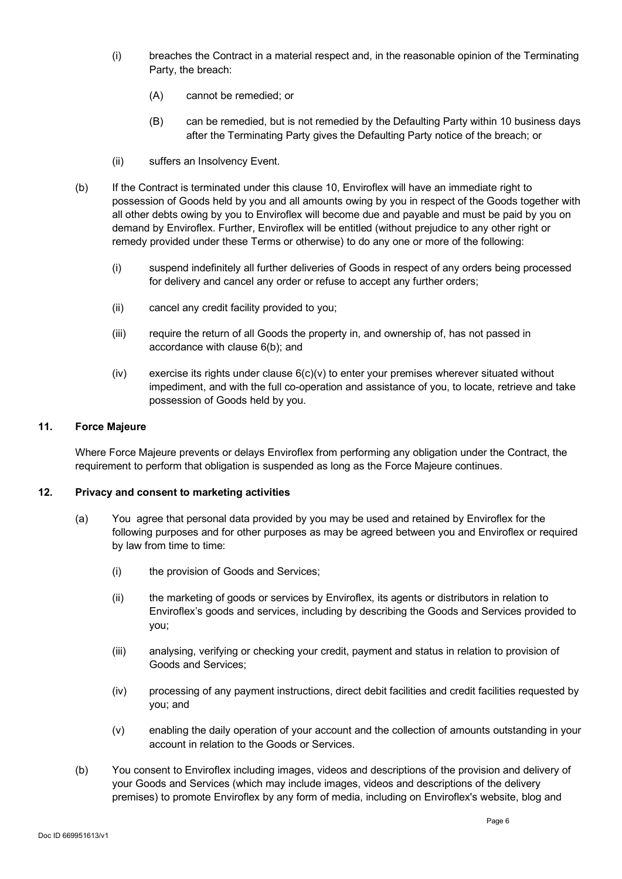- (i) breaches the Contract in a material respect and, in the reasonable opinion of the Terminating Party, the breach:
	- (A) cannot be remedied; or
	- (B) can be remedied, but is not remedied by the Defaulting Party within 10 business days after the Terminating Party gives the Defaulting Party notice of the breach; or
- (ii) suffers an Insolvency Event.
- (b) If the Contract is terminated under this clause 10, Enviroflex will have an immediate right to possession of Goods held by you and all amounts owing by you in respect of the Goods together with all other debts owing by you to Enviroflex will become due and payable and must be paid by you on demand by Enviroflex. Further, Enviroflex will be entitled (without prejudice to any other right or remedy provided under these Terms or otherwise) to do any one or more of the following:
	- (i) suspend indefinitely all further deliveries of Goods in respect of any orders being processed for delivery and cancel any order or refuse to accept any further orders;
	- (ii) cancel any credit facility provided to you;
	- (iii) require the return of all Goods the property in, and ownership of, has not passed in accordance with clause 6(b); and
	- $(iv)$  exercise its rights under clause  $6(c)(v)$  to enter your premises wherever situated without impediment, and with the full co-operation and assistance of you, to locate, retrieve and take possession of Goods held by you.

#### **11. Force Majeure**

Where Force Majeure prevents or delays Enviroflex from performing any obligation under the Contract, the requirement to perform that obligation is suspended as long as the Force Majeure continues.

#### **12. Privacy and consent to marketing activities**

- (a) You agree that personal data provided by you may be used and retained by Enviroflex for the following purposes and for other purposes as may be agreed between you and Enviroflex or required by law from time to time:
	- (i) the provision of Goods and Services;
	- (ii) the marketing of goods or services by Enviroflex, its agents or distributors in relation to Enviroflex's goods and services, including by describing the Goods and Services provided to you;
	- (iii) analysing, verifying or checking your credit, payment and status in relation to provision of Goods and Services;
	- (iv) processing of any payment instructions, direct debit facilities and credit facilities requested by you; and
	- (v) enabling the daily operation of your account and the collection of amounts outstanding in your account in relation to the Goods or Services.
- (b) You consent to Enviroflex including images, videos and descriptions of the provision and delivery of your Goods and Services (which may include images, videos and descriptions of the delivery premises) to promote Enviroflex by any form of media, including on Enviroflex's website, blog and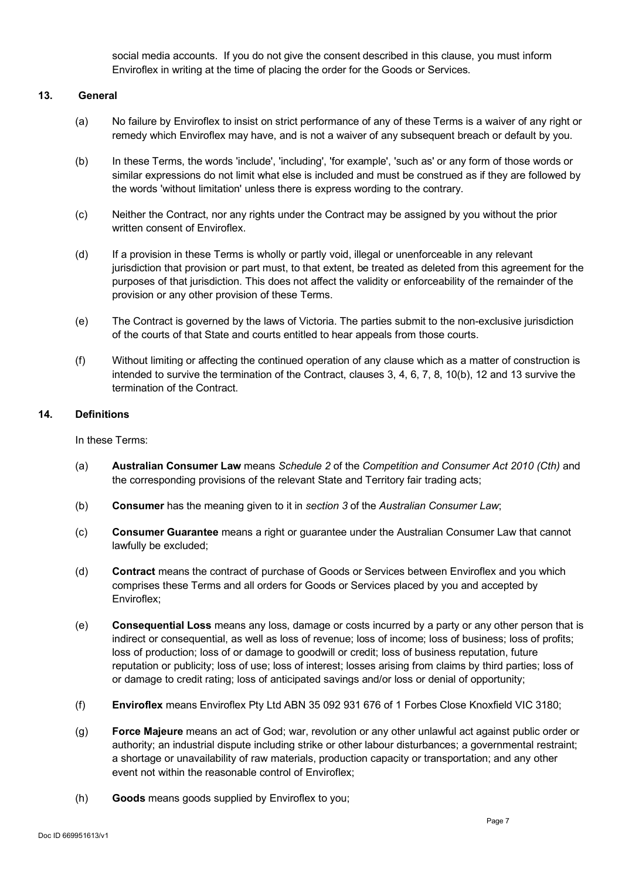social media accounts. If you do not give the consent described in this clause, you must inform Enviroflex in writing at the time of placing the order for the Goods or Services.

### **13. General**

- (a) No failure by Enviroflex to insist on strict performance of any of these Terms is a waiver of any right or remedy which Enviroflex may have, and is not a waiver of any subsequent breach or default by you.
- (b) In these Terms, the words 'include', 'including', 'for example', 'such as' or any form of those words or similar expressions do not limit what else is included and must be construed as if they are followed by the words 'without limitation' unless there is express wording to the contrary.
- (c) Neither the Contract, nor any rights under the Contract may be assigned by you without the prior written consent of Enviroflex.
- (d) If a provision in these Terms is wholly or partly void, illegal or unenforceable in any relevant jurisdiction that provision or part must, to that extent, be treated as deleted from this agreement for the purposes of that jurisdiction. This does not affect the validity or enforceability of the remainder of the provision or any other provision of these Terms.
- (e) The Contract is governed by the laws of Victoria. The parties submit to the non-exclusive jurisdiction of the courts of that State and courts entitled to hear appeals from those courts.
- (f) Without limiting or affecting the continued operation of any clause which as a matter of construction is intended to survive the termination of the Contract, clauses 3, 4, 6, 7, 8, 10(b), 12 and 13 survive the termination of the Contract.

### **14. Definitions**

In these Terms:

- (a) **Australian Consumer Law** means *Schedule 2* of the *Competition and Consumer Act 2010 (Cth)* and the corresponding provisions of the relevant State and Territory fair trading acts;
- (b) **Consumer** has the meaning given to it in *section 3* of the *Australian Consumer Law*;
- (c) **Consumer Guarantee** means a right or guarantee under the Australian Consumer Law that cannot lawfully be excluded;
- (d) **Contract** means the contract of purchase of Goods or Services between Enviroflex and you which comprises these Terms and all orders for Goods or Services placed by you and accepted by Enviroflex;
- (e) **Consequential Loss** means any loss, damage or costs incurred by a party or any other person that is indirect or consequential, as well as loss of revenue; loss of income; loss of business; loss of profits; loss of production; loss of or damage to goodwill or credit; loss of business reputation, future reputation or publicity; loss of use; loss of interest; losses arising from claims by third parties; loss of or damage to credit rating; loss of anticipated savings and/or loss or denial of opportunity;
- (f) **Enviroflex** means Enviroflex Pty Ltd ABN 35 092 931 676 of 1 Forbes Close Knoxfield VIC 3180;
- (g) **Force Majeure** means an act of God; war, revolution or any other unlawful act against public order or authority; an industrial dispute including strike or other labour disturbances; a governmental restraint; a shortage or unavailability of raw materials, production capacity or transportation; and any other event not within the reasonable control of Enviroflex;
- (h) **Goods** means goods supplied by Enviroflex to you;